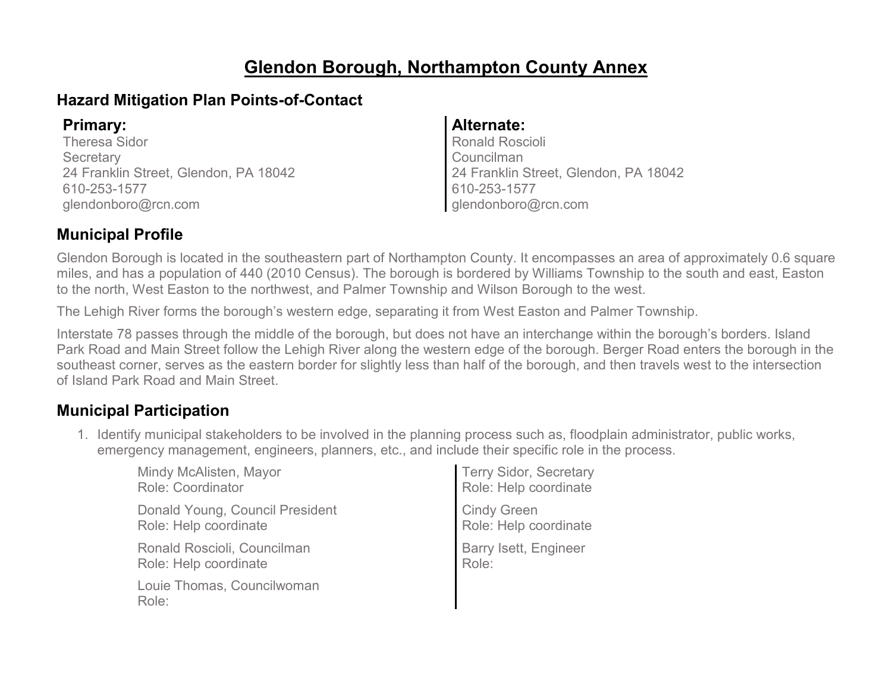# **Glendon Borough, Northampton County Annex**

### **Hazard Mitigation Plan Points-of-Contact**

Theresa Sidor **Secretary** 24 Franklin Street, Glendon, PA 18042 610-253-1577 glendonboro@rcn.com

#### **Primary: Alternate:**

Ronald Roscioli Councilman 24 Franklin Street, Glendon, PA 18042 610-253-1577 glendonboro@rcn.com

### **Municipal Profile**

Glendon Borough is located in the southeastern part of Northampton County. It encompasses an area of approximately 0.6 square miles, and has a population of 440 (2010 Census). The borough is bordered by Williams Township to the south and east, Easton to the north, West Easton to the northwest, and Palmer Township and Wilson Borough to the west.

The Lehigh River forms the borough's western edge, separating it from West Easton and Palmer Township.

Interstate 78 passes through the middle of the borough, but does not have an interchange within the borough's borders. Island Park Road and Main Street follow the Lehigh River along the western edge of the borough. Berger Road enters the borough in the southeast corner, serves as the eastern border for slightly less than half of the borough, and then travels west to the intersection of Island Park Road and Main Street.

### **Municipal Participation**

1. Identify municipal stakeholders to be involved in the planning process such as, floodplain administrator, public works, emergency management, engineers, planners, etc., and include their specific role in the process.

| Mindy McAlisten, Mayor<br><b>Role: Coordinator</b>       | Terry Sidor, Secretary<br>Role: Help coordinate |
|----------------------------------------------------------|-------------------------------------------------|
| Donald Young, Council President<br>Role: Help coordinate | Cindy Green<br>Role: Help coordinate            |
| Ronald Roscioli, Councilman<br>Role: Help coordinate     | Barry Isett, Engineer<br>Role:                  |
| Louie Thomas, Councilwoman<br>Role:                      |                                                 |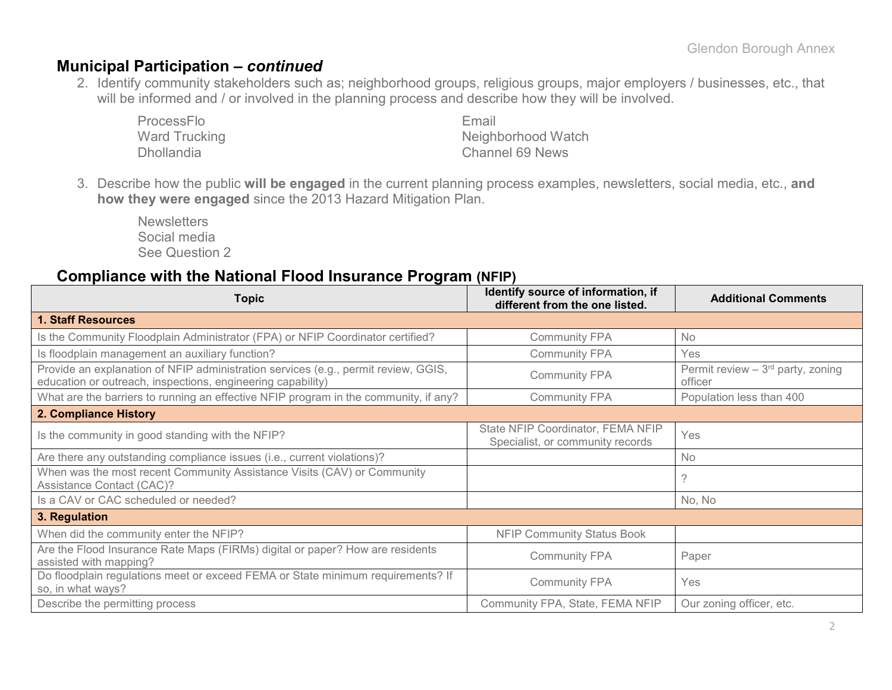#### **Municipal Participation –** *continued*

2. Identify community stakeholders such as; neighborhood groups, religious groups, major employers / businesses, etc., that will be informed and / or involved in the planning process and describe how they will be involved.

| ProcessFlo        | Fmail                  |
|-------------------|------------------------|
| Ward Trucking     | Neighborhood Watch     |
| <b>Dhollandia</b> | <b>Channel 69 News</b> |

3. Describe how the public **will be engaged** in the current planning process examples, newsletters, social media, etc., **and how they were engaged** since the 2013 Hazard Mitigation Plan.

**Newsletters** Social media See Question 2

#### **Compliance with the National Flood Insurance Program (NFIP)**

| <b>Topic</b>                                                                                                                                      | Identify source of information, if<br>different from the one listed.  | <b>Additional Comments</b>                    |
|---------------------------------------------------------------------------------------------------------------------------------------------------|-----------------------------------------------------------------------|-----------------------------------------------|
| <b>1. Staff Resources</b>                                                                                                                         |                                                                       |                                               |
| Is the Community Floodplain Administrator (FPA) or NFIP Coordinator certified?                                                                    | <b>Community FPA</b>                                                  | No                                            |
| Is floodplain management an auxiliary function?                                                                                                   | <b>Community FPA</b>                                                  | <b>Yes</b>                                    |
| Provide an explanation of NFIP administration services (e.g., permit review, GGIS,<br>education or outreach, inspections, engineering capability) | <b>Community FPA</b>                                                  | Permit review $-3rd$ party, zoning<br>officer |
| What are the barriers to running an effective NFIP program in the community, if any?                                                              | <b>Community FPA</b>                                                  | Population less than 400                      |
| 2. Compliance History                                                                                                                             |                                                                       |                                               |
| Is the community in good standing with the NFIP?                                                                                                  | State NFIP Coordinator, FEMA NFIP<br>Specialist, or community records | Yes                                           |
| Are there any outstanding compliance issues (i.e., current violations)?                                                                           |                                                                       | No                                            |
| When was the most recent Community Assistance Visits (CAV) or Community<br><b>Assistance Contact (CAC)?</b>                                       |                                                                       |                                               |
| Is a CAV or CAC scheduled or needed?                                                                                                              |                                                                       | No, No                                        |
| 3. Regulation                                                                                                                                     |                                                                       |                                               |
| When did the community enter the NFIP?                                                                                                            | <b>NFIP Community Status Book</b>                                     |                                               |
| Are the Flood Insurance Rate Maps (FIRMs) digital or paper? How are residents<br>assisted with mapping?                                           | <b>Community FPA</b>                                                  | Paper                                         |
| Do floodplain regulations meet or exceed FEMA or State minimum requirements? If<br>so, in what ways?                                              | <b>Community FPA</b>                                                  | <b>Yes</b>                                    |
| Describe the permitting process                                                                                                                   | Community FPA, State, FEMA NFIP                                       | Our zoning officer, etc.                      |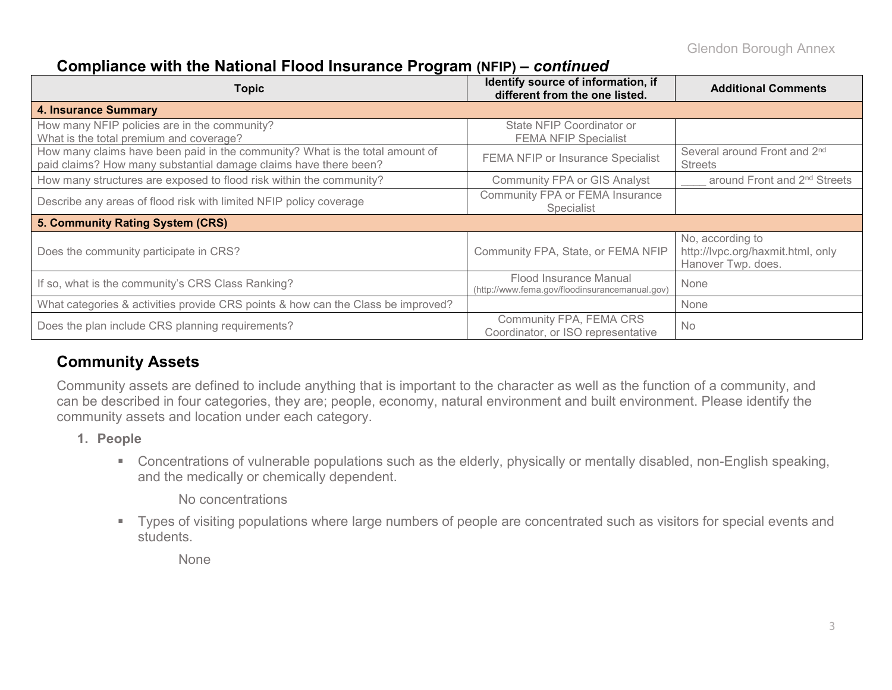### **Compliance with the National Flood Insurance Program (NFIP)** *– continued*

| <b>Topic</b>                                                                                                                                     | Identify source of information, if<br>different from the one listed.     | <b>Additional Comments</b>                                                  |
|--------------------------------------------------------------------------------------------------------------------------------------------------|--------------------------------------------------------------------------|-----------------------------------------------------------------------------|
| <b>4. Insurance Summary</b>                                                                                                                      |                                                                          |                                                                             |
| How many NFIP policies are in the community?<br>What is the total premium and coverage?                                                          | State NFIP Coordinator or<br><b>FEMA NFIP Specialist</b>                 |                                                                             |
| How many claims have been paid in the community? What is the total amount of<br>paid claims? How many substantial damage claims have there been? | FEMA NFIP or Insurance Specialist                                        | Several around Front and 2 <sup>nd</sup><br><b>Streets</b>                  |
| How many structures are exposed to flood risk within the community?                                                                              | <b>Community FPA or GIS Analyst</b>                                      | around Front and 2 <sup>nd</sup> Streets                                    |
| Describe any areas of flood risk with limited NFIP policy coverage                                                                               | Community FPA or FEMA Insurance<br><b>Specialist</b>                     |                                                                             |
| 5. Community Rating System (CRS)                                                                                                                 |                                                                          |                                                                             |
| Does the community participate in CRS?                                                                                                           | Community FPA, State, or FEMA NFIP                                       | No, according to<br>http://lvpc.org/haxmit.html, only<br>Hanover Twp. does. |
| If so, what is the community's CRS Class Ranking?                                                                                                | Flood Insurance Manual<br>(http://www.fema.gov/floodinsurancemanual.gov) | None                                                                        |
| What categories & activities provide CRS points & how can the Class be improved?                                                                 |                                                                          | None                                                                        |
| Does the plan include CRS planning requirements?                                                                                                 | Community FPA, FEMA CRS<br>Coordinator, or ISO representative            | <b>No</b>                                                                   |

### **Community Assets**

Community assets are defined to include anything that is important to the character as well as the function of a community, and can be described in four categories, they are; people, economy, natural environment and built environment. Please identify the community assets and location under each category.

- **1. People**
	- Concentrations of vulnerable populations such as the elderly, physically or mentally disabled, non-English speaking, and the medically or chemically dependent.

No concentrations

 Types of visiting populations where large numbers of people are concentrated such as visitors for special events and students.

None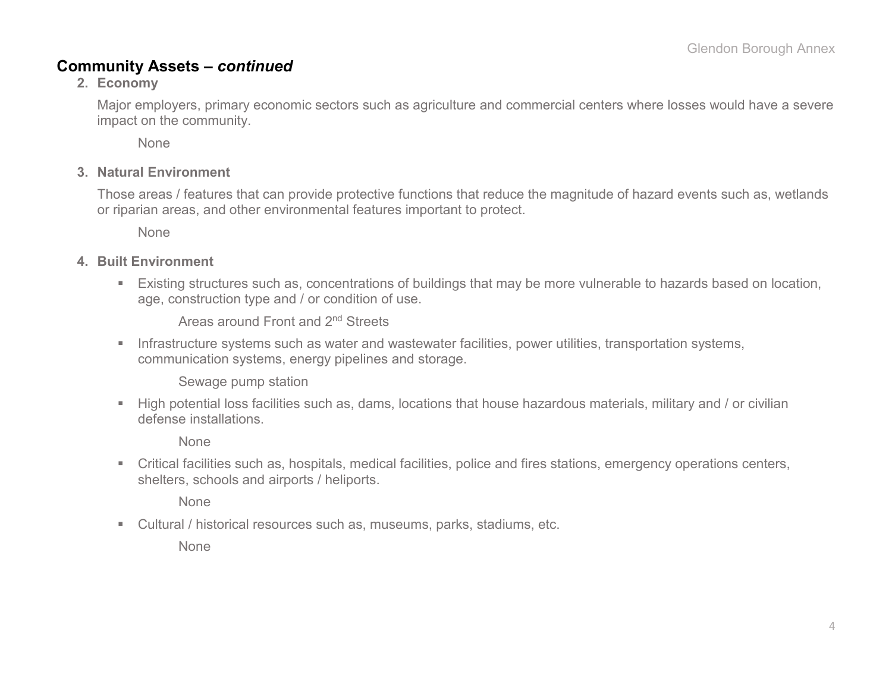### **Community Assets –** *continued*

#### **2. Economy**

Major employers, primary economic sectors such as agriculture and commercial centers where losses would have a severe impact on the community.

None

#### **3. Natural Environment**

Those areas / features that can provide protective functions that reduce the magnitude of hazard events such as, wetlands or riparian areas, and other environmental features important to protect.

None

#### **4. Built Environment**

 Existing structures such as, concentrations of buildings that may be more vulnerable to hazards based on location, age, construction type and / or condition of use.

Areas around Front and 2nd Streets

**Infrastructure systems such as water and wastewater facilities, power utilities, transportation systems,** communication systems, energy pipelines and storage.

Sewage pump station

 High potential loss facilities such as, dams, locations that house hazardous materials, military and / or civilian defense installations.

None

 Critical facilities such as, hospitals, medical facilities, police and fires stations, emergency operations centers, shelters, schools and airports / heliports.

None

Cultural / historical resources such as, museums, parks, stadiums, etc.

None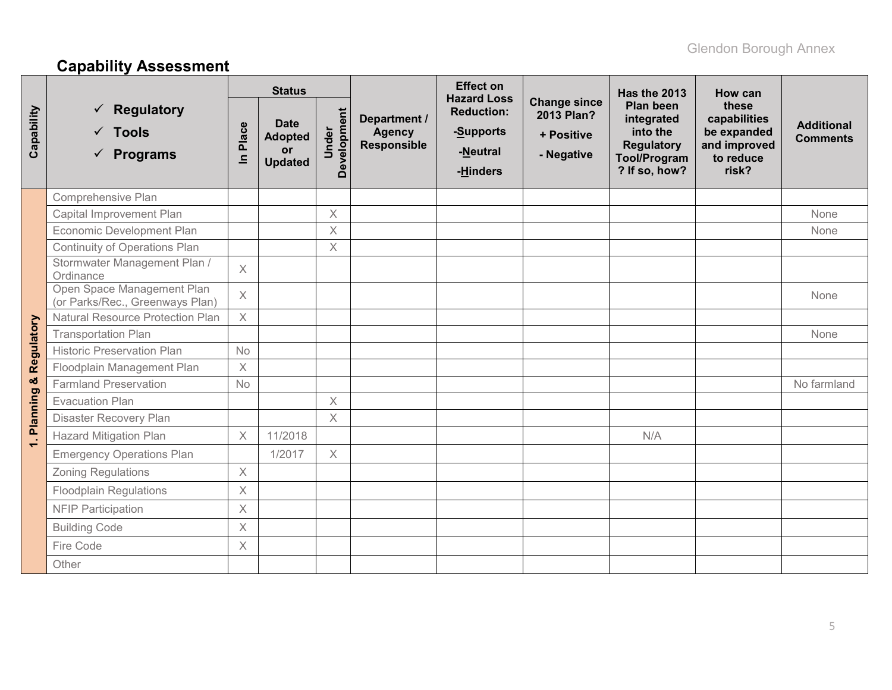# **Capability Assessment**

|                 |                                                                  |                       | <b>Status</b>                                         |                      |                                                     | <b>Effect on</b><br><b>Hazard Loss</b>                 |                                                               | Has the 2013                                                                                            | How can                                                                    |                                      |
|-----------------|------------------------------------------------------------------|-----------------------|-------------------------------------------------------|----------------------|-----------------------------------------------------|--------------------------------------------------------|---------------------------------------------------------------|---------------------------------------------------------------------------------------------------------|----------------------------------------------------------------------------|--------------------------------------|
| Capability      | <b>Regulatory</b><br>$\checkmark$ Tools<br>$\checkmark$ Programs | Place<br>$\mathbf{a}$ | <b>Date</b><br><b>Adopted</b><br>or<br><b>Updated</b> | Development<br>Under | Department /<br><b>Agency</b><br><b>Responsible</b> | <b>Reduction:</b><br>-Supports<br>-Neutral<br>-Hinders | <b>Change since</b><br>2013 Plan?<br>+ Positive<br>- Negative | <b>Plan been</b><br>integrated<br>into the<br><b>Regulatory</b><br><b>Tool/Program</b><br>? If so, how? | these<br>capabilities<br>be expanded<br>and improved<br>to reduce<br>risk? | <b>Additional</b><br><b>Comments</b> |
|                 | Comprehensive Plan                                               |                       |                                                       |                      |                                                     |                                                        |                                                               |                                                                                                         |                                                                            |                                      |
|                 | Capital Improvement Plan                                         |                       |                                                       | $\times$             |                                                     |                                                        |                                                               |                                                                                                         |                                                                            | None                                 |
|                 | Economic Development Plan                                        |                       |                                                       | $\times$             |                                                     |                                                        |                                                               |                                                                                                         |                                                                            | None                                 |
|                 | Continuity of Operations Plan                                    |                       |                                                       | $\times$             |                                                     |                                                        |                                                               |                                                                                                         |                                                                            |                                      |
|                 | Stormwater Management Plan /<br>Ordinance                        | $\times$              |                                                       |                      |                                                     |                                                        |                                                               |                                                                                                         |                                                                            |                                      |
|                 | Open Space Management Plan<br>(or Parks/Rec., Greenways Plan)    | $\times$              |                                                       |                      |                                                     |                                                        |                                                               |                                                                                                         |                                                                            | None                                 |
|                 | <b>Natural Resource Protection Plan</b>                          | $\times$              |                                                       |                      |                                                     |                                                        |                                                               |                                                                                                         |                                                                            |                                      |
| Regulatory      | <b>Transportation Plan</b>                                       |                       |                                                       |                      |                                                     |                                                        |                                                               |                                                                                                         |                                                                            | None                                 |
|                 | <b>Historic Preservation Plan</b>                                | <b>No</b>             |                                                       |                      |                                                     |                                                        |                                                               |                                                                                                         |                                                                            |                                      |
|                 | Floodplain Management Plan                                       | $\times$              |                                                       |                      |                                                     |                                                        |                                                               |                                                                                                         |                                                                            |                                      |
| ×               | <b>Farmland Preservation</b>                                     | No                    |                                                       |                      |                                                     |                                                        |                                                               |                                                                                                         |                                                                            | No farmland                          |
|                 | <b>Evacuation Plan</b>                                           |                       |                                                       | $\times$             |                                                     |                                                        |                                                               |                                                                                                         |                                                                            |                                      |
| <b>Planning</b> | Disaster Recovery Plan                                           |                       |                                                       | $\times$             |                                                     |                                                        |                                                               |                                                                                                         |                                                                            |                                      |
| $\div$          | <b>Hazard Mitigation Plan</b>                                    | $\times$              | 11/2018                                               |                      |                                                     |                                                        |                                                               | N/A                                                                                                     |                                                                            |                                      |
|                 | <b>Emergency Operations Plan</b>                                 |                       | 1/2017                                                | $\times$             |                                                     |                                                        |                                                               |                                                                                                         |                                                                            |                                      |
|                 | <b>Zoning Regulations</b>                                        | $\times$              |                                                       |                      |                                                     |                                                        |                                                               |                                                                                                         |                                                                            |                                      |
|                 | <b>Floodplain Regulations</b>                                    | $\times$              |                                                       |                      |                                                     |                                                        |                                                               |                                                                                                         |                                                                            |                                      |
|                 | <b>NFIP Participation</b>                                        | $\times$              |                                                       |                      |                                                     |                                                        |                                                               |                                                                                                         |                                                                            |                                      |
|                 | <b>Building Code</b>                                             | $\times$              |                                                       |                      |                                                     |                                                        |                                                               |                                                                                                         |                                                                            |                                      |
|                 | Fire Code                                                        | $\times$              |                                                       |                      |                                                     |                                                        |                                                               |                                                                                                         |                                                                            |                                      |
|                 | Other                                                            |                       |                                                       |                      |                                                     |                                                        |                                                               |                                                                                                         |                                                                            |                                      |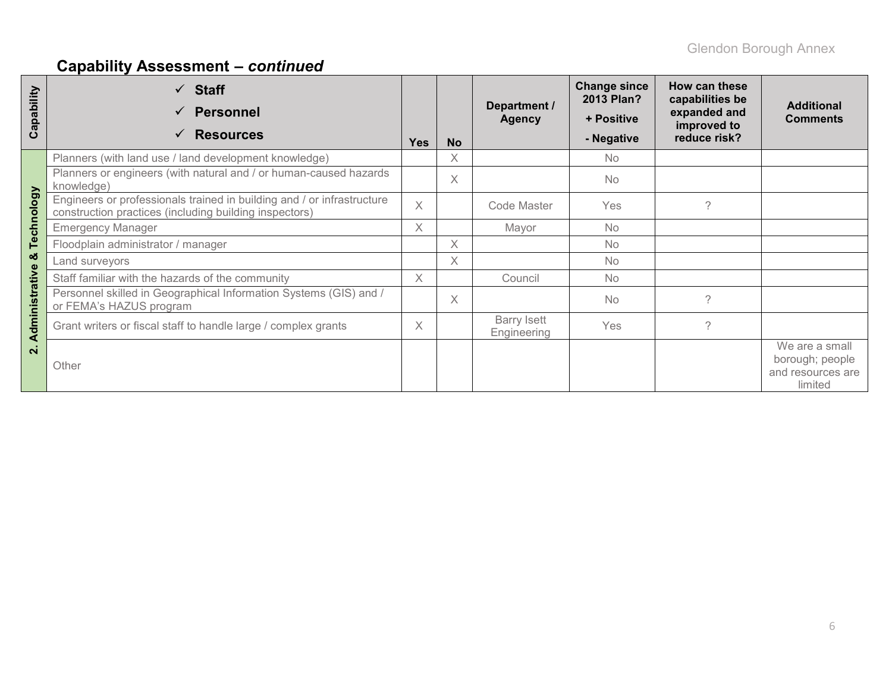# **Capability Assessment –** *continued*

| Capability    | $\checkmark$ Staff<br><b>Personnel</b><br><b>Resources</b>                                                                       | <b>Yes</b> | <b>No</b> | Department /<br><b>Agency</b>     | <b>Change since</b><br>2013 Plan?<br>+ Positive<br>- Negative | How can these<br>capabilities be<br>expanded and<br>improved to<br>reduce risk? | <b>Additional</b><br><b>Comments</b>                              |
|---------------|----------------------------------------------------------------------------------------------------------------------------------|------------|-----------|-----------------------------------|---------------------------------------------------------------|---------------------------------------------------------------------------------|-------------------------------------------------------------------|
|               | Planners (with land use / land development knowledge)                                                                            |            | $\times$  |                                   | <b>No</b>                                                     |                                                                                 |                                                                   |
|               | Planners or engineers (with natural and / or human-caused hazards<br>knowledge)                                                  |            | $\times$  |                                   | <b>No</b>                                                     |                                                                                 |                                                                   |
| Technology    | Engineers or professionals trained in building and / or infrastructure<br>construction practices (including building inspectors) | $\times$   |           | Code Master                       | Yes                                                           | ?                                                                               |                                                                   |
|               | <b>Emergency Manager</b>                                                                                                         | $\times$   |           | Mayor                             | <b>No</b>                                                     |                                                                                 |                                                                   |
|               | Floodplain administrator / manager                                                                                               |            | X         |                                   | <b>No</b>                                                     |                                                                                 |                                                                   |
| ಹ             | Land surveyors                                                                                                                   |            | $\times$  |                                   | <b>No</b>                                                     |                                                                                 |                                                                   |
|               | Staff familiar with the hazards of the community                                                                                 | $\times$   |           | Council                           | <b>No</b>                                                     |                                                                                 |                                                                   |
| dministrative | Personnel skilled in Geographical Information Systems (GIS) and /<br>or FEMA's HAZUS program                                     |            | $\times$  |                                   | <b>No</b>                                                     | $\gamma$                                                                        |                                                                   |
| ⋖             | Grant writers or fiscal staff to handle large / complex grants                                                                   | $\times$   |           | <b>Barry Isett</b><br>Engineering | Yes                                                           | $\mathcal{P}$                                                                   |                                                                   |
| $\mathbf{N}$  | Other                                                                                                                            |            |           |                                   |                                                               |                                                                                 | We are a small<br>borough; people<br>and resources are<br>limited |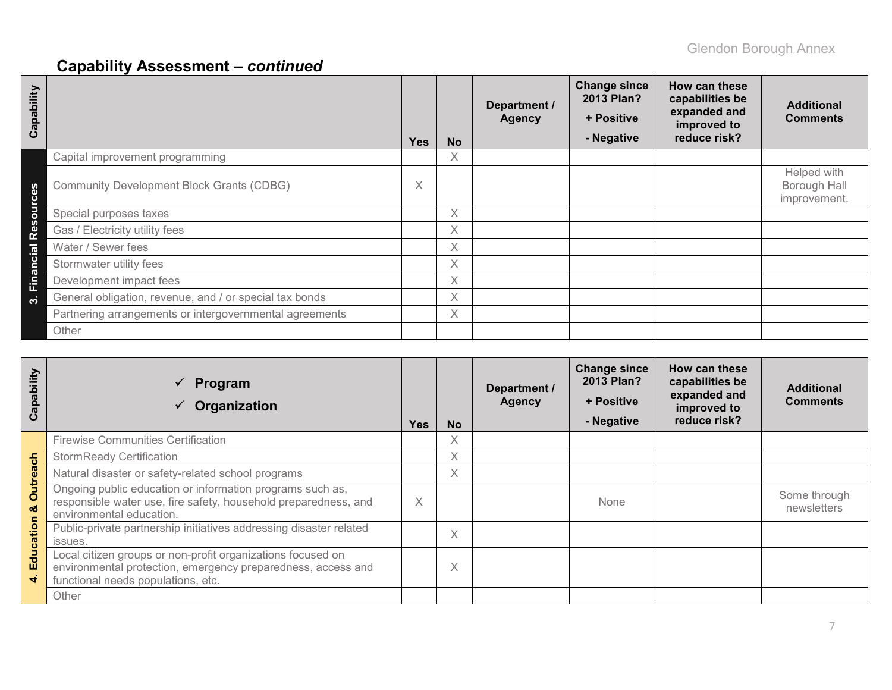# **Capability Assessment –** *continued*

| Capability  |                                                         | <b>Yes</b> | <b>No</b> | Department /<br><b>Agency</b> | <b>Change since</b><br>2013 Plan?<br>+ Positive<br>- Negative | How can these<br>capabilities be<br>expanded and<br>improved to<br>reduce risk? | <b>Additional</b><br><b>Comments</b>        |
|-------------|---------------------------------------------------------|------------|-----------|-------------------------------|---------------------------------------------------------------|---------------------------------------------------------------------------------|---------------------------------------------|
|             | Capital improvement programming                         |            | Χ         |                               |                                                               |                                                                                 |                                             |
| n<br>Ô<br>Ō | <b>Community Development Block Grants (CDBG)</b>        | Χ          |           |                               |                                                               |                                                                                 | Helped with<br>Borough Hall<br>improvement. |
| pur         | Special purposes taxes                                  |            | X         |                               |                                                               |                                                                                 |                                             |
| Res         | Gas / Electricity utility fees                          |            | X         |                               |                                                               |                                                                                 |                                             |
|             | Water / Sewer fees                                      |            | X         |                               |                                                               |                                                                                 |                                             |
|             | Stormwater utility fees                                 |            | Χ         |                               |                                                               |                                                                                 |                                             |
| Financial   | Development impact fees                                 |            | X         |                               |                                                               |                                                                                 |                                             |
| ო           | General obligation, revenue, and / or special tax bonds |            | X         |                               |                                                               |                                                                                 |                                             |
|             | Partnering arrangements or intergovernmental agreements |            | $\times$  |                               |                                                               |                                                                                 |                                             |
|             | Other                                                   |            |           |                               |                                                               |                                                                                 |                                             |

| Capability             | Program<br>$\checkmark$<br>Organization                                                                                                                           | <b>Yes</b> | <b>No</b> | Department /<br><b>Agency</b> | <b>Change since</b><br>2013 Plan?<br>+ Positive<br>- Negative | How can these<br>capabilities be<br>expanded and<br>improved to<br>reduce risk? | <b>Additional</b><br><b>Comments</b> |
|------------------------|-------------------------------------------------------------------------------------------------------------------------------------------------------------------|------------|-----------|-------------------------------|---------------------------------------------------------------|---------------------------------------------------------------------------------|--------------------------------------|
|                        | <b>Firewise Communities Certification</b>                                                                                                                         |            | X         |                               |                                                               |                                                                                 |                                      |
| 등                      | <b>StormReady Certification</b>                                                                                                                                   |            | X         |                               |                                                               |                                                                                 |                                      |
| $\boldsymbol{\sigma}$  | Natural disaster or safety-related school programs                                                                                                                |            | $\times$  |                               |                                                               |                                                                                 |                                      |
| <b>Outrea</b><br>oð    | Ongoing public education or information programs such as,<br>responsible water use, fire safety, household preparedness, and<br>environmental education.          | X          |           |                               | None                                                          |                                                                                 | Some through<br>newsletters          |
|                        | Public-private partnership initiatives addressing disaster related<br>issues.                                                                                     |            | X         |                               |                                                               |                                                                                 |                                      |
| Education<br>$\vec{r}$ | Local citizen groups or non-profit organizations focused on<br>environmental protection, emergency preparedness, access and<br>functional needs populations, etc. |            | X         |                               |                                                               |                                                                                 |                                      |
|                        | Other                                                                                                                                                             |            |           |                               |                                                               |                                                                                 |                                      |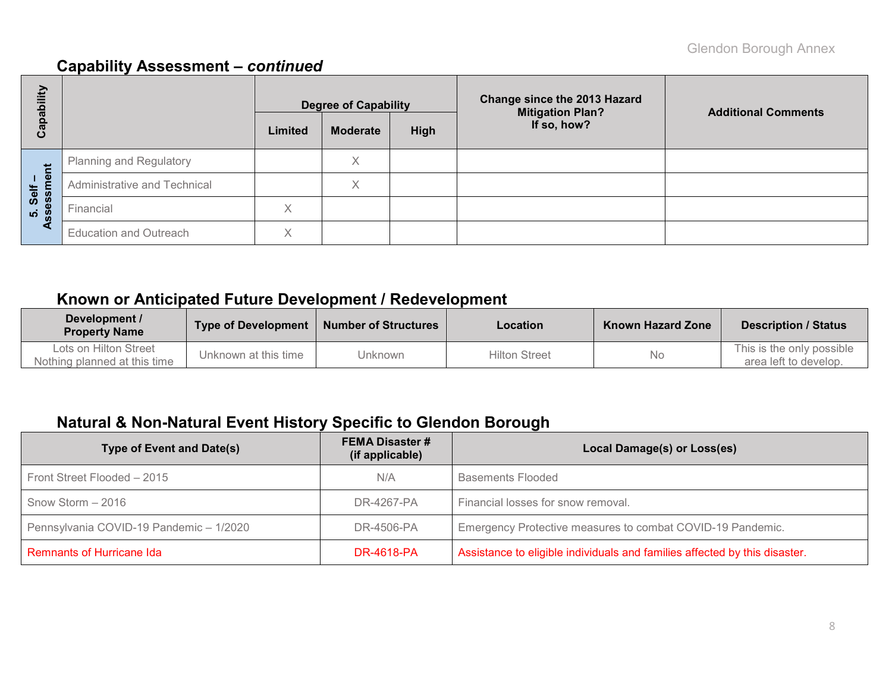## **Capability Assessment –** *continued*

| bility                    |                               |                                                   | <b>Degree of Capability</b> |  | Change since the 2013 Hazard<br><b>Mitigation Plan?</b> | <b>Additional Comments</b> |
|---------------------------|-------------------------------|---------------------------------------------------|-----------------------------|--|---------------------------------------------------------|----------------------------|
| Capa                      |                               | If so, how?<br><b>Moderate</b><br>High<br>Limited |                             |  |                                                         |                            |
|                           | Planning and Regulatory       |                                                   | Χ                           |  |                                                         |                            |
| ment<br>Self              | Administrative and Technical  |                                                   | Χ                           |  |                                                         |                            |
| <b>isess</b><br>ູ່ທ່<br>m | Financial                     | Χ                                                 |                             |  |                                                         |                            |
| ∢                         | <b>Education and Outreach</b> | $\checkmark$                                      |                             |  |                                                         |                            |

## **Known or Anticipated Future Development / Redevelopment**

| Development /<br><b>Property Name</b>                 | <b>Type of Development</b> | <b>Number of Structures</b> | Location             | <b>Known Hazard Zone</b> | <b>Description / Status</b>                        |  |
|-------------------------------------------------------|----------------------------|-----------------------------|----------------------|--------------------------|----------------------------------------------------|--|
| Lots on Hilton Street<br>Nothing planned at this time | Unknown at this time       | Unknown                     | <b>Hilton Street</b> | No                       | This is the only possible<br>area left to develop. |  |

## **Natural & Non-Natural Event History Specific to Glendon Borough**

| <b>Type of Event and Date(s)</b>        | <b>FEMA Disaster #</b><br>(if applicable) | Local Damage(s) or Loss(es)                                                |
|-----------------------------------------|-------------------------------------------|----------------------------------------------------------------------------|
| Front Street Flooded - 2015             | N/A                                       | <b>Basements Flooded</b>                                                   |
| Snow Storm - 2016                       | DR-4267-PA                                | Financial losses for snow removal.                                         |
| Pennsylvania COVID-19 Pandemic - 1/2020 | DR-4506-PA                                | Emergency Protective measures to combat COVID-19 Pandemic.                 |
| Remnants of Hurricane Ida               | <b>DR-4618-PA</b>                         | Assistance to eligible individuals and families affected by this disaster. |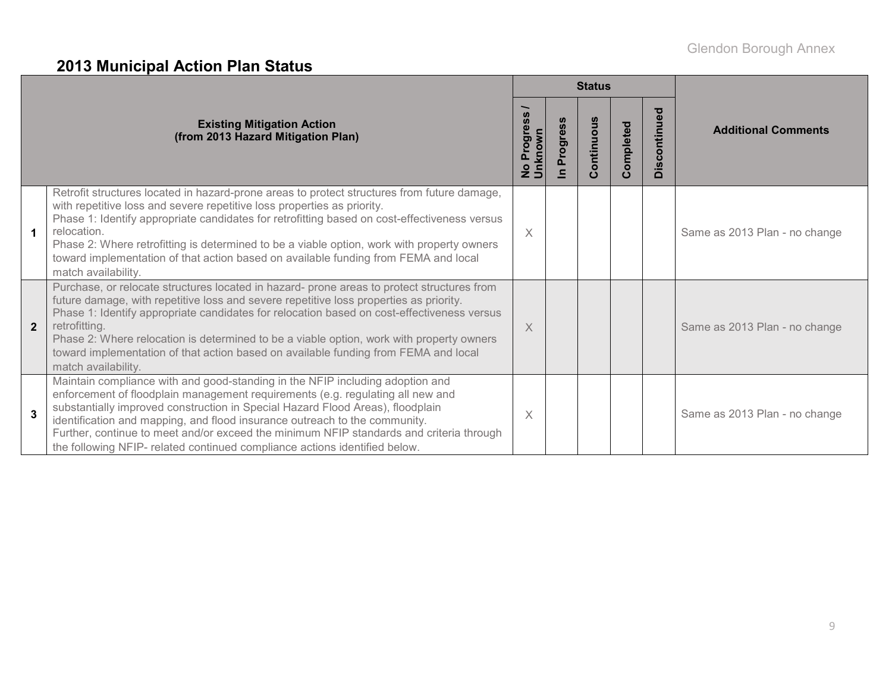# **2013 Municipal Action Plan Status**

|              |                                                                                                                                                                                                                                                                                                                                                                                                                                                                                                               |          |             | <b>Status</b>                     |               |              |                               |
|--------------|---------------------------------------------------------------------------------------------------------------------------------------------------------------------------------------------------------------------------------------------------------------------------------------------------------------------------------------------------------------------------------------------------------------------------------------------------------------------------------------------------------------|----------|-------------|-----------------------------------|---------------|--------------|-------------------------------|
|              | <b>Existing Mitigation Action</b><br>(from 2013 Hazard Mitigation Plan)                                                                                                                                                                                                                                                                                                                                                                                                                                       | Progres  | rogres<br>n | ontinuous<br>$\mathbf{\tilde{O}}$ | ompleted<br>Õ | Discontinued | <b>Additional Comments</b>    |
|              | Retrofit structures located in hazard-prone areas to protect structures from future damage,<br>with repetitive loss and severe repetitive loss properties as priority.<br>Phase 1: Identify appropriate candidates for retrofitting based on cost-effectiveness versus<br>relocation.<br>Phase 2: Where retrofitting is determined to be a viable option, work with property owners<br>toward implementation of that action based on available funding from FEMA and local<br>match availability.             | $\times$ |             |                                   |               |              | Same as 2013 Plan - no change |
| $\mathbf{2}$ | Purchase, or relocate structures located in hazard- prone areas to protect structures from<br>future damage, with repetitive loss and severe repetitive loss properties as priority.<br>Phase 1: Identify appropriate candidates for relocation based on cost-effectiveness versus<br>retrofitting.<br>Phase 2: Where relocation is determined to be a viable option, work with property owners<br>toward implementation of that action based on available funding from FEMA and local<br>match availability. | $\times$ |             |                                   |               |              | Same as 2013 Plan - no change |
| 3            | Maintain compliance with and good-standing in the NFIP including adoption and<br>enforcement of floodplain management requirements (e.g. regulating all new and<br>substantially improved construction in Special Hazard Flood Areas), floodplain<br>identification and mapping, and flood insurance outreach to the community.<br>Further, continue to meet and/or exceed the minimum NFIP standards and criteria through<br>the following NFIP- related continued compliance actions identified below.      | X        |             |                                   |               |              | Same as 2013 Plan - no change |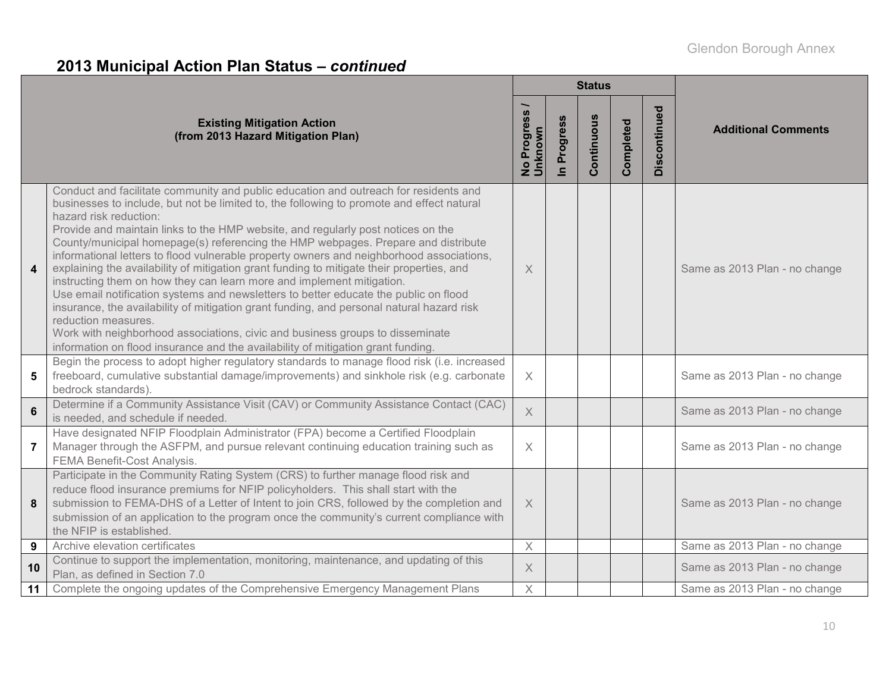# **2013 Municipal Action Plan Status –** *continued*

|                         |                                                                                                                                                                                                                                                                                                                                                                                                                                                                                                                                                                                                                                                                                                                                                                                                                                                                                                                                                                                                                                         |                                             |                            | <b>Status</b> |           |              |                               |
|-------------------------|-----------------------------------------------------------------------------------------------------------------------------------------------------------------------------------------------------------------------------------------------------------------------------------------------------------------------------------------------------------------------------------------------------------------------------------------------------------------------------------------------------------------------------------------------------------------------------------------------------------------------------------------------------------------------------------------------------------------------------------------------------------------------------------------------------------------------------------------------------------------------------------------------------------------------------------------------------------------------------------------------------------------------------------------|---------------------------------------------|----------------------------|---------------|-----------|--------------|-------------------------------|
|                         | <b>Existing Mitigation Action</b><br>(from 2013 Hazard Mitigation Plan)                                                                                                                                                                                                                                                                                                                                                                                                                                                                                                                                                                                                                                                                                                                                                                                                                                                                                                                                                                 | Progress<br><u>Unknown</u><br>$\frac{1}{2}$ | Progress<br>$\blacksquare$ | Continuous    | Completed | Discontinued | <b>Additional Comments</b>    |
| $\overline{\mathbf{4}}$ | Conduct and facilitate community and public education and outreach for residents and<br>businesses to include, but not be limited to, the following to promote and effect natural<br>hazard risk reduction:<br>Provide and maintain links to the HMP website, and regularly post notices on the<br>County/municipal homepage(s) referencing the HMP webpages. Prepare and distribute<br>informational letters to flood vulnerable property owners and neighborhood associations,<br>explaining the availability of mitigation grant funding to mitigate their properties, and<br>instructing them on how they can learn more and implement mitigation.<br>Use email notification systems and newsletters to better educate the public on flood<br>insurance, the availability of mitigation grant funding, and personal natural hazard risk<br>reduction measures.<br>Work with neighborhood associations, civic and business groups to disseminate<br>information on flood insurance and the availability of mitigation grant funding. | X                                           |                            |               |           |              | Same as 2013 Plan - no change |
| 5                       | Begin the process to adopt higher regulatory standards to manage flood risk (i.e. increased<br>freeboard, cumulative substantial damage/improvements) and sinkhole risk (e.g. carbonate<br>bedrock standards).                                                                                                                                                                                                                                                                                                                                                                                                                                                                                                                                                                                                                                                                                                                                                                                                                          | $\times$                                    |                            |               |           |              | Same as 2013 Plan - no change |
| $6\phantom{a}$          | Determine if a Community Assistance Visit (CAV) or Community Assistance Contact (CAC)<br>is needed, and schedule if needed.                                                                                                                                                                                                                                                                                                                                                                                                                                                                                                                                                                                                                                                                                                                                                                                                                                                                                                             | $\overline{X}$                              |                            |               |           |              | Same as 2013 Plan - no change |
| $\overline{7}$          | Have designated NFIP Floodplain Administrator (FPA) become a Certified Floodplain<br>Manager through the ASFPM, and pursue relevant continuing education training such as<br>FEMA Benefit-Cost Analysis.                                                                                                                                                                                                                                                                                                                                                                                                                                                                                                                                                                                                                                                                                                                                                                                                                                | $\times$                                    |                            |               |           |              | Same as 2013 Plan - no change |
| 8                       | Participate in the Community Rating System (CRS) to further manage flood risk and<br>reduce flood insurance premiums for NFIP policyholders. This shall start with the<br>submission to FEMA-DHS of a Letter of Intent to join CRS, followed by the completion and<br>submission of an application to the program once the community's current compliance with<br>the NFIP is established.                                                                                                                                                                                                                                                                                                                                                                                                                                                                                                                                                                                                                                              | $\times$                                    |                            |               |           |              | Same as 2013 Plan - no change |
| 9                       | Archive elevation certificates                                                                                                                                                                                                                                                                                                                                                                                                                                                                                                                                                                                                                                                                                                                                                                                                                                                                                                                                                                                                          | $\times$                                    |                            |               |           |              | Same as 2013 Plan - no change |
| 10                      | Continue to support the implementation, monitoring, maintenance, and updating of this<br>Plan, as defined in Section 7.0                                                                                                                                                                                                                                                                                                                                                                                                                                                                                                                                                                                                                                                                                                                                                                                                                                                                                                                | X                                           |                            |               |           |              | Same as 2013 Plan - no change |
| 11                      | Complete the ongoing updates of the Comprehensive Emergency Management Plans                                                                                                                                                                                                                                                                                                                                                                                                                                                                                                                                                                                                                                                                                                                                                                                                                                                                                                                                                            | $\times$                                    |                            |               |           |              | Same as 2013 Plan - no change |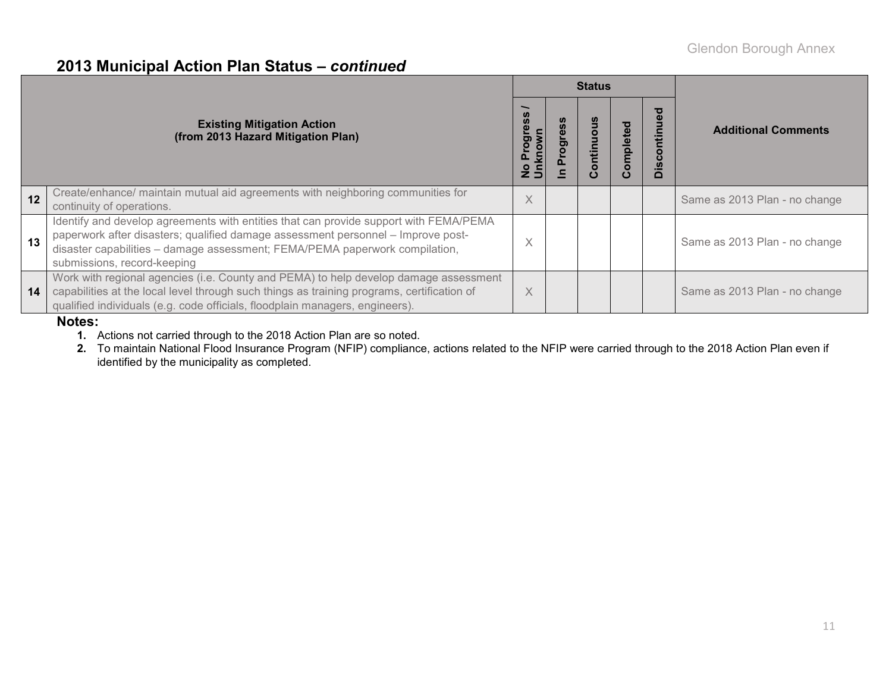#### **2013 Municipal Action Plan Status –** *continued*

|    |                                                                                                                                                                                                                                                                                         |          | <b>Status</b>        |           |                                                             |                               |  |
|----|-----------------------------------------------------------------------------------------------------------------------------------------------------------------------------------------------------------------------------------------------------------------------------------------|----------|----------------------|-----------|-------------------------------------------------------------|-------------------------------|--|
|    | <b>Existing Mitigation Action</b><br>(from 2013 Hazard Mitigation Plan)                                                                                                                                                                                                                 |          | ntinı<br>$\mathbf C$ | Completed | ъ<br>Ō<br>Ě<br>$\circ$<br>$\boldsymbol{\omega}$<br>$\Omega$ | <b>Additional Comments</b>    |  |
| 12 | Create/enhance/ maintain mutual aid agreements with neighboring communities for<br>continuity of operations.                                                                                                                                                                            | X        |                      |           |                                                             | Same as 2013 Plan - no change |  |
| 13 | Identify and develop agreements with entities that can provide support with FEMA/PEMA<br>paperwork after disasters; qualified damage assessment personnel - Improve post-<br>disaster capabilities - damage assessment; FEMA/PEMA paperwork compilation,<br>submissions, record-keeping |          |                      |           |                                                             | Same as 2013 Plan - no change |  |
| 14 | Work with regional agencies (i.e. County and PEMA) to help develop damage assessment<br>capabilities at the local level through such things as training programs, certification of<br>qualified individuals (e.g. code officials, floodplain managers, engineers).                      | $\times$ |                      |           |                                                             | Same as 2013 Plan - no change |  |

#### **Notes:**

**1.** Actions not carried through to the 2018 Action Plan are so noted.

**2.** To maintain National Flood Insurance Program (NFIP) compliance, actions related to the NFIP were carried through to the 2018 Action Plan even if identified by the municipality as completed.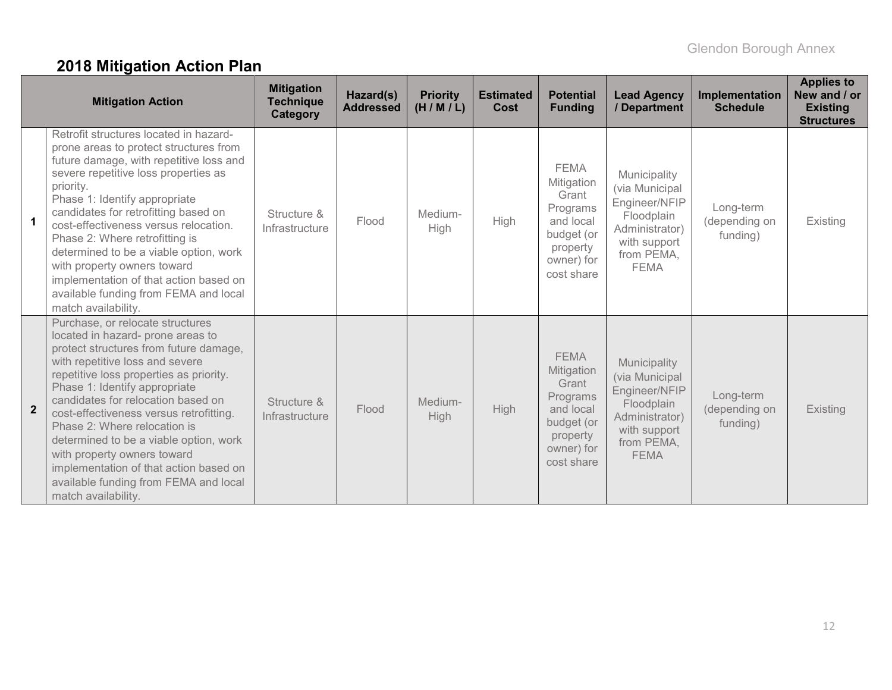# **2018 Mitigation Action Plan**

|                | <b>Mitigation Action</b>                                                                                                                                                                                                                                                                                                                                                                                                                                                                                                           | <b>Mitigation</b><br><b>Technique</b><br><b>Category</b> | Hazard(s)<br><b>Addressed</b> | <b>Priority</b><br>(H/M/L) | <b>Estimated</b><br>Cost | <b>Potential</b><br><b>Funding</b>                                                                                | <b>Lead Agency</b><br>/ Department                                                                                           | Implementation<br><b>Schedule</b>      | <b>Applies to</b><br>New and / or<br><b>Existing</b><br><b>Structures</b> |
|----------------|------------------------------------------------------------------------------------------------------------------------------------------------------------------------------------------------------------------------------------------------------------------------------------------------------------------------------------------------------------------------------------------------------------------------------------------------------------------------------------------------------------------------------------|----------------------------------------------------------|-------------------------------|----------------------------|--------------------------|-------------------------------------------------------------------------------------------------------------------|------------------------------------------------------------------------------------------------------------------------------|----------------------------------------|---------------------------------------------------------------------------|
| -1             | Retrofit structures located in hazard-<br>prone areas to protect structures from<br>future damage, with repetitive loss and<br>severe repetitive loss properties as<br>priority.<br>Phase 1: Identify appropriate<br>candidates for retrofitting based on<br>cost-effectiveness versus relocation.<br>Phase 2: Where retrofitting is<br>determined to be a viable option, work<br>with property owners toward<br>implementation of that action based on<br>available funding from FEMA and local<br>match availability.            | Structure &<br>Infrastructure                            | Flood                         | Medium-<br>High            | High                     | <b>FEMA</b><br>Mitigation<br>Grant<br>Programs<br>and local<br>budget (or<br>property<br>owner) for<br>cost share | Municipality<br>(via Municipal<br>Engineer/NFIP<br>Floodplain<br>Administrator)<br>with support<br>from PEMA,<br><b>FEMA</b> | Long-term<br>(depending on<br>funding) | Existing                                                                  |
| $\overline{2}$ | Purchase, or relocate structures<br>located in hazard- prone areas to<br>protect structures from future damage,<br>with repetitive loss and severe<br>repetitive loss properties as priority.<br>Phase 1: Identify appropriate<br>candidates for relocation based on<br>cost-effectiveness versus retrofitting.<br>Phase 2: Where relocation is<br>determined to be a viable option, work<br>with property owners toward<br>implementation of that action based on<br>available funding from FEMA and local<br>match availability. | Structure &<br>Infrastructure                            | Flood                         | Medium-<br>High            | High                     | <b>FEMA</b><br>Mitigation<br>Grant<br>Programs<br>and local<br>budget (or<br>property<br>owner) for<br>cost share | Municipality<br>(via Municipal<br>Engineer/NFIP<br>Floodplain<br>Administrator)<br>with support<br>from PEMA,<br><b>FEMA</b> | Long-term<br>(depending on<br>funding) | Existing                                                                  |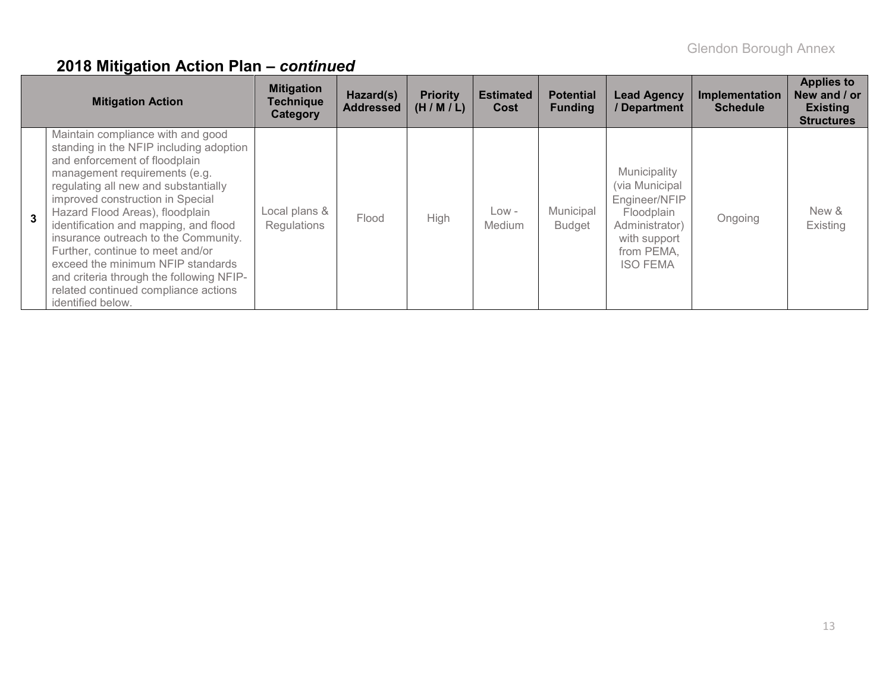|   | <b>Mitigation Action</b>                                                                                                                                                                                                                                                                                                                                                                                                                                                                                                         | <b>Mitigation</b><br><b>Technique</b><br>Category | Hazard(s)<br><b>Addressed</b> | <b>Priority</b><br>(H/M/L) | <b>Estimated</b><br>Cost | <b>Potential</b><br><b>Funding</b> | <b>Lead Agency</b><br>/ Department                                                                                               | Implementation<br><b>Schedule</b> | <b>Applies to</b><br>New and / or<br><b>Existing</b><br><b>Structures</b> |
|---|----------------------------------------------------------------------------------------------------------------------------------------------------------------------------------------------------------------------------------------------------------------------------------------------------------------------------------------------------------------------------------------------------------------------------------------------------------------------------------------------------------------------------------|---------------------------------------------------|-------------------------------|----------------------------|--------------------------|------------------------------------|----------------------------------------------------------------------------------------------------------------------------------|-----------------------------------|---------------------------------------------------------------------------|
| 3 | Maintain compliance with and good<br>standing in the NFIP including adoption<br>and enforcement of floodplain<br>management requirements (e.g.<br>regulating all new and substantially<br>improved construction in Special<br>Hazard Flood Areas), floodplain<br>identification and mapping, and flood<br>insurance outreach to the Community.<br>Further, continue to meet and/or<br>exceed the minimum NFIP standards<br>and criteria through the following NFIP-<br>related continued compliance actions<br>identified below. | Local plans &<br>Regulations                      | Flood                         | High                       | $Low -$<br><b>Medium</b> | Municipal<br><b>Budget</b>         | Municipality<br>(via Municipal<br>Engineer/NFIP<br>Floodplain<br>Administrator)<br>with support<br>from PEMA,<br><b>ISO FEMA</b> | Ongoing                           | New &<br>Existing                                                         |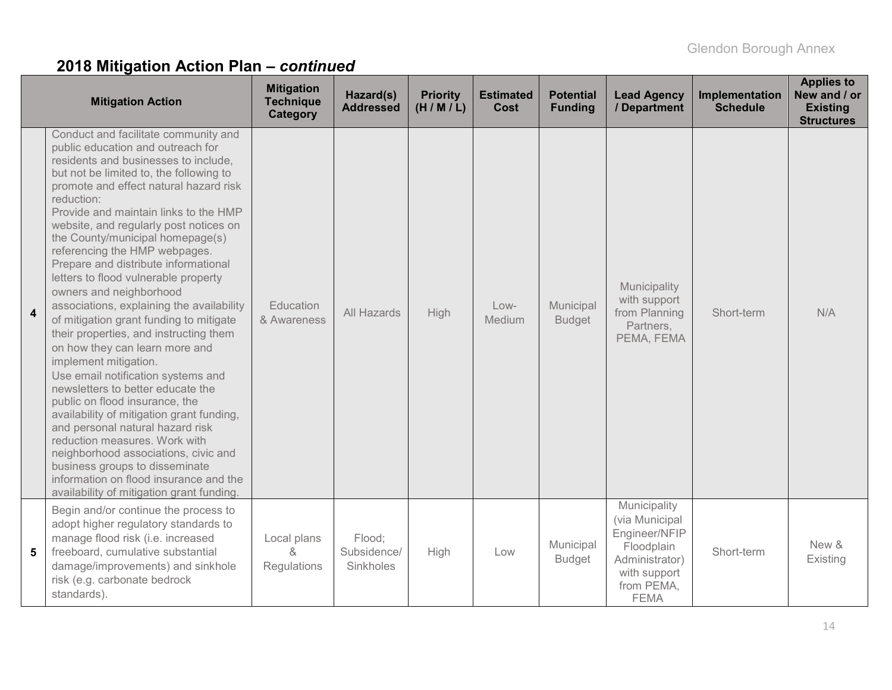|                         | <b>Mitigation Action</b>                                                                                                                                                                                                                                                                                                                                                                                                                                                                                                                                                                                                                                                                                                                                                                                                                                                                                                                                                                                                                                                             | <b>Mitigation</b><br><b>Technique</b><br>Category | Hazard(s)<br><b>Addressed</b>      | <b>Priority</b><br>(H/M/L) | <b>Estimated</b><br>Cost | <b>Potential</b><br><b>Funding</b> | <b>Lead Agency</b><br>/ Department                                                                                           | Implementation<br><b>Schedule</b> | <b>Applies to</b><br>New and / or<br><b>Existing</b><br><b>Structures</b> |
|-------------------------|--------------------------------------------------------------------------------------------------------------------------------------------------------------------------------------------------------------------------------------------------------------------------------------------------------------------------------------------------------------------------------------------------------------------------------------------------------------------------------------------------------------------------------------------------------------------------------------------------------------------------------------------------------------------------------------------------------------------------------------------------------------------------------------------------------------------------------------------------------------------------------------------------------------------------------------------------------------------------------------------------------------------------------------------------------------------------------------|---------------------------------------------------|------------------------------------|----------------------------|--------------------------|------------------------------------|------------------------------------------------------------------------------------------------------------------------------|-----------------------------------|---------------------------------------------------------------------------|
| $\overline{\mathbf{4}}$ | Conduct and facilitate community and<br>public education and outreach for<br>residents and businesses to include,<br>but not be limited to, the following to<br>promote and effect natural hazard risk<br>reduction:<br>Provide and maintain links to the HMP<br>website, and regularly post notices on<br>the County/municipal homepage(s)<br>referencing the HMP webpages.<br>Prepare and distribute informational<br>letters to flood vulnerable property<br>owners and neighborhood<br>associations, explaining the availability<br>of mitigation grant funding to mitigate<br>their properties, and instructing them<br>on how they can learn more and<br>implement mitigation.<br>Use email notification systems and<br>newsletters to better educate the<br>public on flood insurance, the<br>availability of mitigation grant funding,<br>and personal natural hazard risk<br>reduction measures. Work with<br>neighborhood associations, civic and<br>business groups to disseminate<br>information on flood insurance and the<br>availability of mitigation grant funding. | Education<br>& Awareness                          | All Hazards                        | <b>High</b>                | $Low-$<br>Medium         | Municipal<br><b>Budget</b>         | Municipality<br>with support<br>from Planning<br>Partners,<br>PEMA, FEMA                                                     | Short-term                        | N/A                                                                       |
| 5                       | Begin and/or continue the process to<br>adopt higher regulatory standards to<br>manage flood risk (i.e. increased<br>freeboard, cumulative substantial<br>damage/improvements) and sinkhole<br>risk (e.g. carbonate bedrock<br>standards).                                                                                                                                                                                                                                                                                                                                                                                                                                                                                                                                                                                                                                                                                                                                                                                                                                           | Local plans<br>ጼ<br>Regulations                   | Flood;<br>Subsidence/<br>Sinkholes | High                       | Low                      | Municipal<br><b>Budget</b>         | Municipality<br>(via Municipal<br>Engineer/NFIP<br>Floodplain<br>Administrator)<br>with support<br>from PEMA,<br><b>FEMA</b> | Short-term                        | New &<br>Existing                                                         |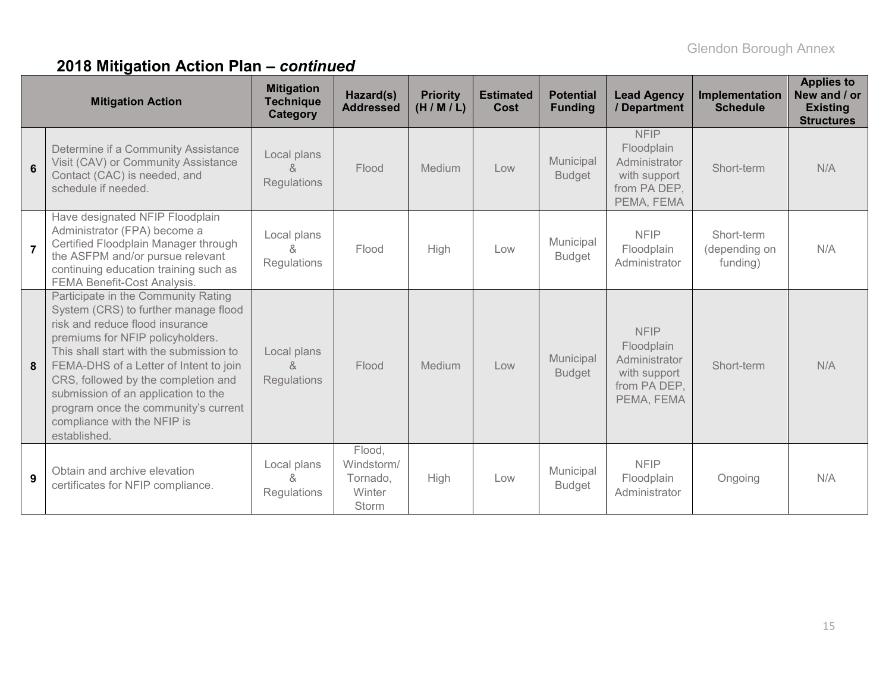|                | <b>Mitigation Action</b>                                                                                                                                                                                                                                                                                                                                                                                     | <b>Mitigation</b><br><b>Technique</b><br>Category | Hazard(s)<br><b>Addressed</b>                       | <b>Priority</b><br>(H/M/L) | <b>Estimated</b><br>Cost | <b>Potential</b><br><b>Funding</b> | <b>Lead Agency</b><br>/ Department                                                       | Implementation<br><b>Schedule</b>       | <b>Applies to</b><br>New and / or<br><b>Existing</b><br><b>Structures</b> |
|----------------|--------------------------------------------------------------------------------------------------------------------------------------------------------------------------------------------------------------------------------------------------------------------------------------------------------------------------------------------------------------------------------------------------------------|---------------------------------------------------|-----------------------------------------------------|----------------------------|--------------------------|------------------------------------|------------------------------------------------------------------------------------------|-----------------------------------------|---------------------------------------------------------------------------|
| 6              | Determine if a Community Assistance<br>Visit (CAV) or Community Assistance<br>Contact (CAC) is needed, and<br>schedule if needed.                                                                                                                                                                                                                                                                            | Local plans<br>&<br><b>Regulations</b>            | Flood                                               | Medium                     | Low                      | Municipal<br><b>Budget</b>         | <b>NFIP</b><br>Floodplain<br>Administrator<br>with support<br>from PA DEP,<br>PEMA, FEMA | Short-term                              | N/A                                                                       |
| $\overline{7}$ | Have designated NFIP Floodplain<br>Administrator (FPA) become a<br>Certified Floodplain Manager through<br>the ASFPM and/or pursue relevant<br>continuing education training such as<br>FEMA Benefit-Cost Analysis.                                                                                                                                                                                          | Local plans<br>&<br>Regulations                   | Flood                                               | High                       | Low                      | Municipal<br><b>Budget</b>         | <b>NFIP</b><br>Floodplain<br>Administrator                                               | Short-term<br>(depending on<br>funding) | N/A                                                                       |
| 8              | Participate in the Community Rating<br>System (CRS) to further manage flood<br>risk and reduce flood insurance<br>premiums for NFIP policyholders.<br>This shall start with the submission to<br>FEMA-DHS of a Letter of Intent to join<br>CRS, followed by the completion and<br>submission of an application to the<br>program once the community's current<br>compliance with the NFIP is<br>established. | Local plans<br>&<br><b>Regulations</b>            | Flood                                               | Medium                     | Low                      | Municipal<br><b>Budget</b>         | <b>NFIP</b><br>Floodplain<br>Administrator<br>with support<br>from PA DEP,<br>PEMA, FEMA | Short-term                              | N/A                                                                       |
| 9              | Obtain and archive elevation<br>certificates for NFIP compliance.                                                                                                                                                                                                                                                                                                                                            | Local plans<br>&<br>Regulations                   | Flood,<br>Windstorm/<br>Tornado,<br>Winter<br>Storm | High                       | Low                      | Municipal<br><b>Budget</b>         | <b>NFIP</b><br>Floodplain<br>Administrator                                               | Ongoing                                 | N/A                                                                       |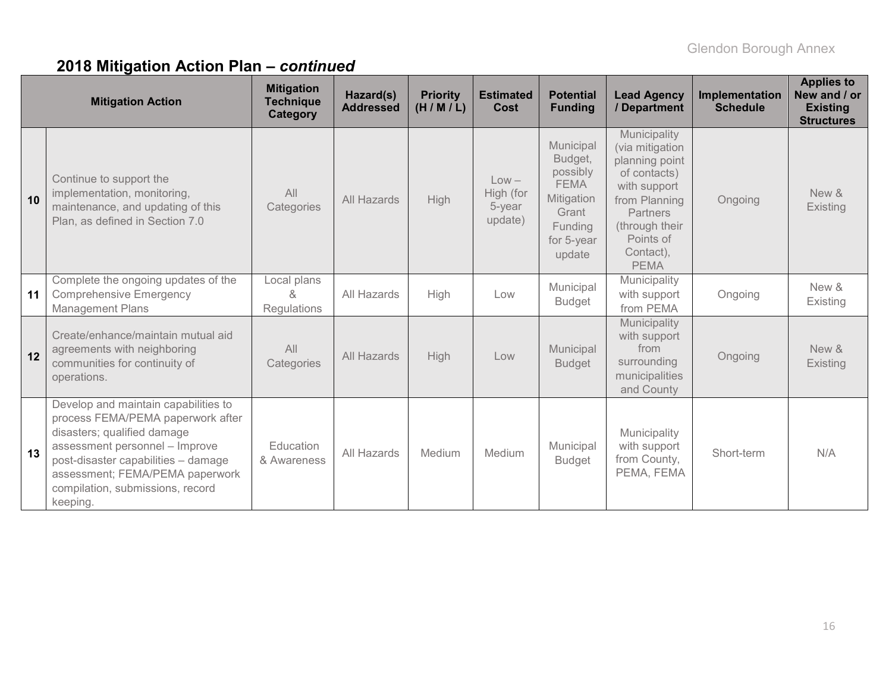|    | <b>Mitigation Action</b>                                                                                                                                                                                                                                             | <b>Mitigation</b><br><b>Technique</b><br><b>Category</b> | Hazard(s)<br><b>Addressed</b> | <b>Priority</b><br>(H/M/L) | <b>Estimated</b><br>Cost                  | <b>Potential</b><br><b>Funding</b>                                                                        | <b>Lead Agency</b><br>/ Department                                                                                                                                        | Implementation<br><b>Schedule</b> | <b>Applies to</b><br>New and / or<br><b>Existing</b><br><b>Structures</b> |
|----|----------------------------------------------------------------------------------------------------------------------------------------------------------------------------------------------------------------------------------------------------------------------|----------------------------------------------------------|-------------------------------|----------------------------|-------------------------------------------|-----------------------------------------------------------------------------------------------------------|---------------------------------------------------------------------------------------------------------------------------------------------------------------------------|-----------------------------------|---------------------------------------------------------------------------|
| 10 | Continue to support the<br>implementation, monitoring,<br>maintenance, and updating of this<br>Plan, as defined in Section 7.0                                                                                                                                       | All<br>Categories                                        | All Hazards                   | High                       | $Low -$<br>High (for<br>5-year<br>update) | Municipal<br>Budget,<br>possibly<br><b>FEMA</b><br>Mitigation<br>Grant<br>Funding<br>for 5-year<br>update | Municipality<br>(via mitigation<br>planning point<br>of contacts)<br>with support<br>from Planning<br>Partners<br>(through their<br>Points of<br>Contact),<br><b>PEMA</b> | Ongoing                           | New &<br>Existing                                                         |
| 11 | Complete the ongoing updates of the<br><b>Comprehensive Emergency</b><br><b>Management Plans</b>                                                                                                                                                                     | Local plans<br>x.<br>Regulations                         | All Hazards                   | High                       | Low                                       | Municipal<br><b>Budget</b>                                                                                | Municipality<br>with support<br>from PEMA                                                                                                                                 | Ongoing                           | New &<br>Existing                                                         |
| 12 | Create/enhance/maintain mutual aid<br>agreements with neighboring<br>communities for continuity of<br>operations.                                                                                                                                                    | All<br>Categories                                        | <b>All Hazards</b>            | High                       | Low                                       | Municipal<br><b>Budget</b>                                                                                | Municipality<br>with support<br>from<br>surrounding<br>municipalities<br>and County                                                                                       | Ongoing                           | New &<br>Existing                                                         |
| 13 | Develop and maintain capabilities to<br>process FEMA/PEMA paperwork after<br>disasters; qualified damage<br>assessment personnel - Improve<br>post-disaster capabilities - damage<br>assessment; FEMA/PEMA paperwork<br>compilation, submissions, record<br>keeping. | Education<br>& Awareness                                 | All Hazards                   | Medium                     | Medium                                    | Municipal<br><b>Budget</b>                                                                                | Municipality<br>with support<br>from County,<br>PEMA, FEMA                                                                                                                | Short-term                        | N/A                                                                       |